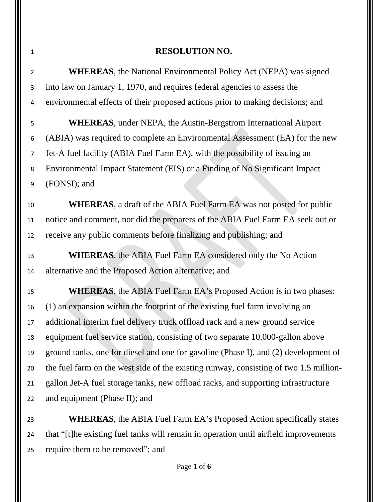## **RESOLUTION NO.**

 **WHEREAS**, the National Environmental Policy Act (NEPA) was signed into law on January 1, 1970, and requires federal agencies to assess the environmental effects of their proposed actions prior to making decisions; and

 **WHEREAS**, under NEPA, the Austin-Bergstrom International Airport (ABIA) was required to complete an Environmental Assessment (EA) for the new Jet-A fuel facility (ABIA Fuel Farm EA), with the possibility of issuing an Environmental Impact Statement (EIS) or a Finding of No Significant Impact (FONSI); and

 **WHEREAS**, a draft of the ABIA Fuel Farm EA was not posted for public notice and comment, nor did the preparers of the ABIA Fuel Farm EA seek out or receive any public comments before finalizing and publishing; and

 **WHEREAS**, the ABIA Fuel Farm EA considered only the No Action alternative and the Proposed Action alternative; and

**WHEREAS**, the ABIA Fuel Farm EA's Proposed Action is in two phases: (1) an expansion within the footprint of the existing fuel farm involving an additional interim fuel delivery truck offload rack and a new ground service equipment fuel service station, consisting of two separate 10,000-gallon above ground tanks, one for diesel and one for gasoline (Phase I), and (2) development of the fuel farm on the west side of the existing runway, consisting of two 1.5 million- gallon Jet-A fuel storage tanks, new offload racks, and supporting infrastructure and equipment (Phase II); and

 **WHEREAS**, the ABIA Fuel Farm EA's Proposed Action specifically states that "[t]he existing fuel tanks will remain in operation until airfield improvements require them to be removed"; and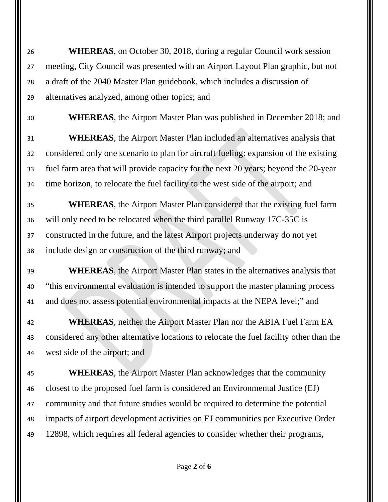**WHEREAS**, on October 30, 2018, during a regular Council work session meeting, City Council was presented with an Airport Layout Plan graphic, but not a draft of the 2040 Master Plan guidebook, which includes a discussion of alternatives analyzed, among other topics; and

**WHEREAS**, the Airport Master Plan was published in December 2018; and

 **WHEREAS**, the Airport Master Plan included an alternatives analysis that considered only one scenario to plan for aircraft fueling: expansion of the existing fuel farm area that will provide capacity for the next 20 years; beyond the 20-year time horizon, to relocate the fuel facility to the west side of the airport; and

 **WHEREAS**, the Airport Master Plan considered that the existing fuel farm will only need to be relocated when the third parallel Runway 17C-35C is constructed in the future, and the latest Airport projects underway do not yet include design or construction of the third runway; and

 **WHEREAS**, the Airport Master Plan states in the alternatives analysis that "this environmental evaluation is intended to support the master planning process and does not assess potential environmental impacts at the NEPA level;" and

 **WHEREAS**, neither the Airport Master Plan nor the ABIA Fuel Farm EA considered any other alternative locations to relocate the fuel facility other than the west side of the airport; and

 **WHEREAS**, the Airport Master Plan acknowledges that the community closest to the proposed fuel farm is considered an Environmental Justice (EJ) community and that future studies would be required to determine the potential impacts of airport development activities on EJ communities per Executive Order 12898, which requires all federal agencies to consider whether their programs,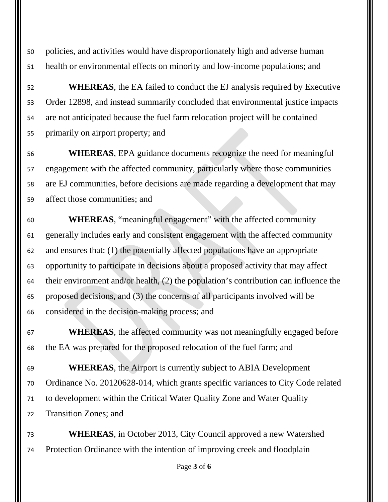policies, and activities would have disproportionately high and adverse human health or environmental effects on minority and low-income populations; and

 **WHEREAS**, the EA failed to conduct the EJ analysis required by Executive Order 12898, and instead summarily concluded that environmental justice impacts are not anticipated because the fuel farm relocation project will be contained primarily on airport property; and

 **WHEREAS**, EPA guidance documents recognize the need for meaningful engagement with the affected community, particularly where those communities are EJ communities, before decisions are made regarding a development that may affect those communities; and

 **WHEREAS**, "meaningful engagement" with the affected community generally includes early and consistent engagement with the affected community and ensures that: (1) the potentially affected populations have an appropriate opportunity to participate in decisions about a proposed activity that may affect their environment and/or health, (2) the population's contribution can influence the proposed decisions, and (3) the concerns of all participants involved will be considered in the decision-making process; and

 **WHEREAS**, the affected community was not meaningfully engaged before the EA was prepared for the proposed relocation of the fuel farm; and

 **WHEREAS**, the Airport is currently subject to ABIA Development Ordinance No. 20120628-014, which grants specific variances to City Code related to development within the Critical Water Quality Zone and Water Quality Transition Zones; and

 **WHEREAS**, in October 2013, City Council approved a new Watershed Protection Ordinance with the intention of improving creek and floodplain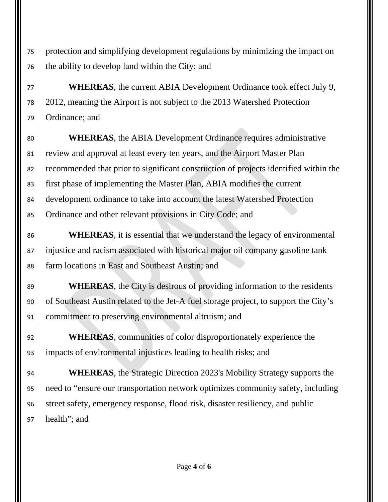protection and simplifying development regulations by minimizing the impact on the ability to develop land within the City; and

 **WHEREAS**, the current ABIA Development Ordinance took effect July 9, 2012, meaning the Airport is not subject to the 2013 Watershed Protection Ordinance; and

 **WHEREAS**, the ABIA Development Ordinance requires administrative review and approval at least every ten years, and the Airport Master Plan recommended that prior to significant construction of projects identified within the first phase of implementing the Master Plan, ABIA modifies the current development ordinance to take into account the latest Watershed Protection Ordinance and other relevant provisions in City Code; and

 **WHEREAS**, it is essential that we understand the legacy of environmental injustice and racism associated with historical major oil company gasoline tank farm locations in East and Southeast Austin; and

**WHEREAS**, the City is desirous of providing information to the residents of Southeast Austin related to the Jet-A fuel storage project, to support the City's commitment to preserving environmental altruism; and

 **WHEREAS**, communities of color disproportionately experience the impacts of environmental injustices leading to health risks; and

 **WHEREAS**, the Strategic Direction 2023's Mobility Strategy supports the need to "ensure our transportation network optimizes community safety, including street safety, emergency response, flood risk, disaster resiliency, and public health"; and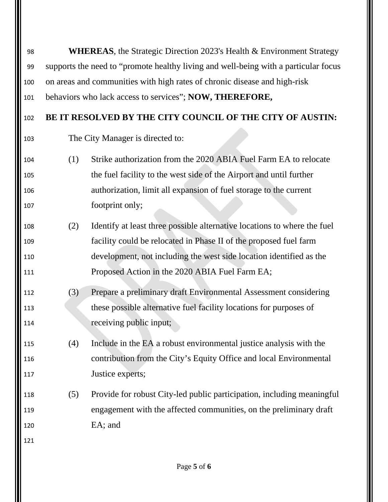| 98  | <b>WHEREAS</b> , the Strategic Direction 2023's Health & Environment Strategy       |                                                                          |  |
|-----|-------------------------------------------------------------------------------------|--------------------------------------------------------------------------|--|
| 99  | supports the need to "promote healthy living and well-being with a particular focus |                                                                          |  |
| 100 | on areas and communities with high rates of chronic disease and high-risk           |                                                                          |  |
| 101 | behaviors who lack access to services"; NOW, THEREFORE,                             |                                                                          |  |
| 102 | BE IT RESOLVED BY THE CITY COUNCIL OF THE CITY OF AUSTIN:                           |                                                                          |  |
| 103 | The City Manager is directed to:                                                    |                                                                          |  |
| 104 | (1)                                                                                 | Strike authorization from the 2020 ABIA Fuel Farm EA to relocate         |  |
| 105 |                                                                                     | the fuel facility to the west side of the Airport and until further      |  |
| 106 |                                                                                     | authorization, limit all expansion of fuel storage to the current        |  |
| 107 |                                                                                     | footprint only;                                                          |  |
| 108 | (2)                                                                                 | Identify at least three possible alternative locations to where the fuel |  |
| 109 |                                                                                     | facility could be relocated in Phase II of the proposed fuel farm        |  |
| 110 |                                                                                     | development, not including the west side location identified as the      |  |
| 111 |                                                                                     | Proposed Action in the 2020 ABIA Fuel Farm EA;                           |  |
| 112 | (3)                                                                                 | Prepare a preliminary draft Environmental Assessment considering         |  |
| 113 |                                                                                     | these possible alternative fuel facility locations for purposes of       |  |
| 114 |                                                                                     | receiving public input;                                                  |  |
| 115 | (4)                                                                                 | Include in the EA a robust environmental justice analysis with the       |  |
| 116 |                                                                                     | contribution from the City's Equity Office and local Environmental       |  |
| 117 |                                                                                     | Justice experts;                                                         |  |
| 118 | (5)                                                                                 | Provide for robust City-led public participation, including meaningful   |  |
| 119 |                                                                                     | engagement with the affected communities, on the preliminary draft       |  |
| 120 |                                                                                     | EA; and                                                                  |  |
| 121 |                                                                                     |                                                                          |  |
|     |                                                                                     |                                                                          |  |